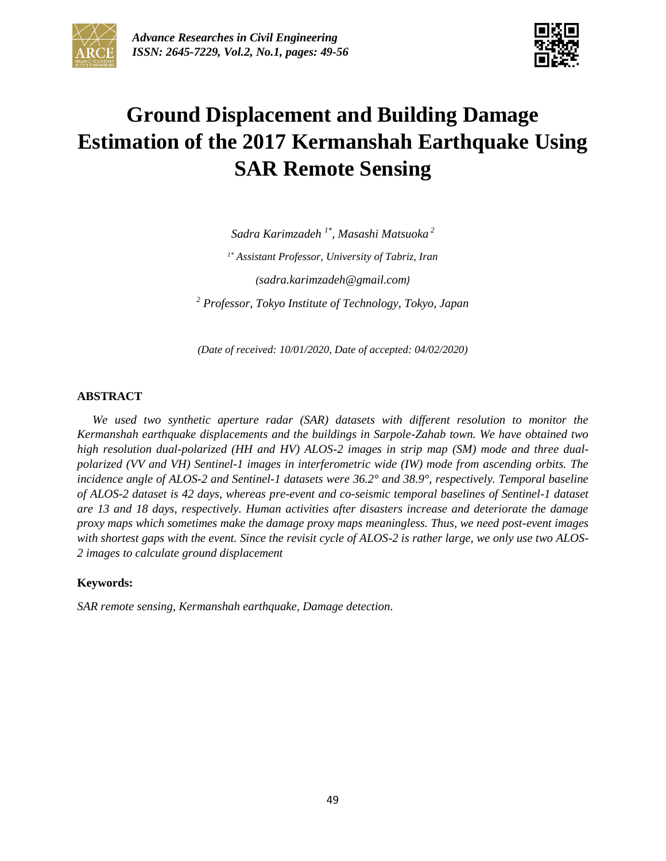



# **Ground Displacement and Building Damage Estimation of the 2017 Kermanshah Earthquake Using SAR Remote Sensing**

*Sadra Karimzadeh 1\* , Masashi Matsuoka <sup>2</sup> 1\* Assistant Professor, University of Tabriz, Iran (sadra.karimzadeh@gmail.com) <sup>2</sup> Professor, Tokyo Institute of Technology, Tokyo, Japan*

*(Date of received: 10/01/2020, Date of accepted: 04/02/2020)*

#### **ABSTRACT**

*We used two synthetic aperture radar (SAR) datasets with different resolution to monitor the Kermanshah earthquake displacements and the buildings in Sarpole-Zahab town. We have obtained two high resolution dual-polarized (HH and HV) ALOS-2 images in strip map (SM) mode and three dualpolarized (VV and VH) Sentinel-1 images in interferometric wide (IW) mode from ascending orbits. The incidence angle of ALOS-2 and Sentinel-1 datasets were 36.2° and 38.9°, respectively. Temporal baseline of ALOS-2 dataset is 42 days, whereas pre-event and co-seismic temporal baselines of Sentinel-1 dataset are 13 and 18 days, respectively. Human activities after disasters increase and deteriorate the damage proxy maps which sometimes make the damage proxy maps meaningless. Thus, we need post-event images with shortest gaps with the event. Since the revisit cycle of ALOS-2 is rather large, we only use two ALOS-2 images to calculate ground displacement*

#### **Keywords:**

*SAR remote sensing, Kermanshah earthquake, Damage detection.*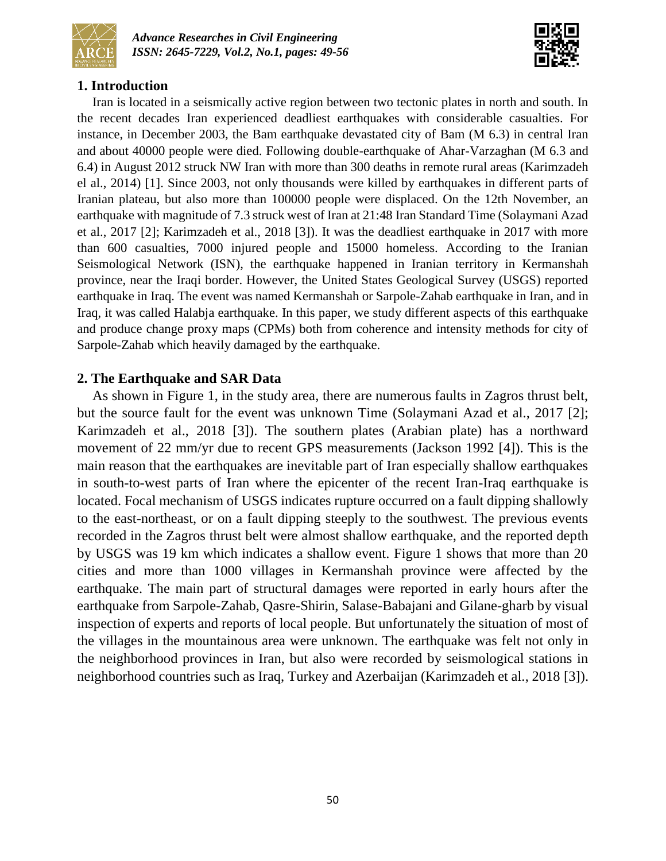



# **1. Introduction**

Iran is located in a seismically active region between two tectonic plates in north and south. In the recent decades Iran experienced deadliest earthquakes with considerable casualties. For instance, in December 2003, the Bam earthquake devastated city of Bam (M 6.3) in central Iran and about 40000 people were died. Following double-earthquake of Ahar-Varzaghan (M 6.3 and 6.4) in August 2012 struck NW Iran with more than 300 deaths in remote rural areas (Karimzadeh el al., 2014) [1]. Since 2003, not only thousands were killed by earthquakes in different parts of Iranian plateau, but also more than 100000 people were displaced. On the 12th November, an earthquake with magnitude of 7.3 struck west of Iran at 21:48 Iran Standard Time (Solaymani Azad et al., 2017 [2]; Karimzadeh et al., 2018 [3]). It was the deadliest earthquake in 2017 with more than 600 casualties, 7000 injured people and 15000 homeless. According to the Iranian Seismological Network (ISN), the earthquake happened in Iranian territory in Kermanshah province, near the Iraqi border. However, the United States Geological Survey (USGS) reported earthquake in Iraq. The event was named Kermanshah or Sarpole-Zahab earthquake in Iran, and in Iraq, it was called Halabja earthquake. In this paper, we study different aspects of this earthquake and produce change proxy maps (CPMs) both from coherence and intensity methods for city of Sarpole-Zahab which heavily damaged by the earthquake.

# **2. The Earthquake and SAR Data**

As shown in Figure 1, in the study area, there are numerous faults in Zagros thrust belt, but the source fault for the event was unknown Time (Solaymani Azad et al., 2017 [2]; Karimzadeh et al., 2018 [3]). The southern plates (Arabian plate) has a northward movement of 22 mm/yr due to recent GPS measurements (Jackson 1992 [4]). This is the main reason that the earthquakes are inevitable part of Iran especially shallow earthquakes in south-to-west parts of Iran where the epicenter of the recent Iran-Iraq earthquake is located. Focal mechanism of USGS indicates rupture occurred on a fault dipping shallowly to the east-northeast, or on a fault dipping steeply to the southwest. The previous events recorded in the Zagros thrust belt were almost shallow earthquake, and the reported depth by USGS was 19 km which indicates a shallow event. Figure 1 shows that more than 20 cities and more than 1000 villages in Kermanshah province were affected by the earthquake. The main part of structural damages were reported in early hours after the earthquake from Sarpole-Zahab, Qasre-Shirin, Salase-Babajani and Gilane-gharb by visual inspection of experts and reports of local people. But unfortunately the situation of most of the villages in the mountainous area were unknown. The earthquake was felt not only in the neighborhood provinces in Iran, but also were recorded by seismological stations in neighborhood countries such as Iraq, Turkey and Azerbaijan (Karimzadeh et al., 2018 [3]).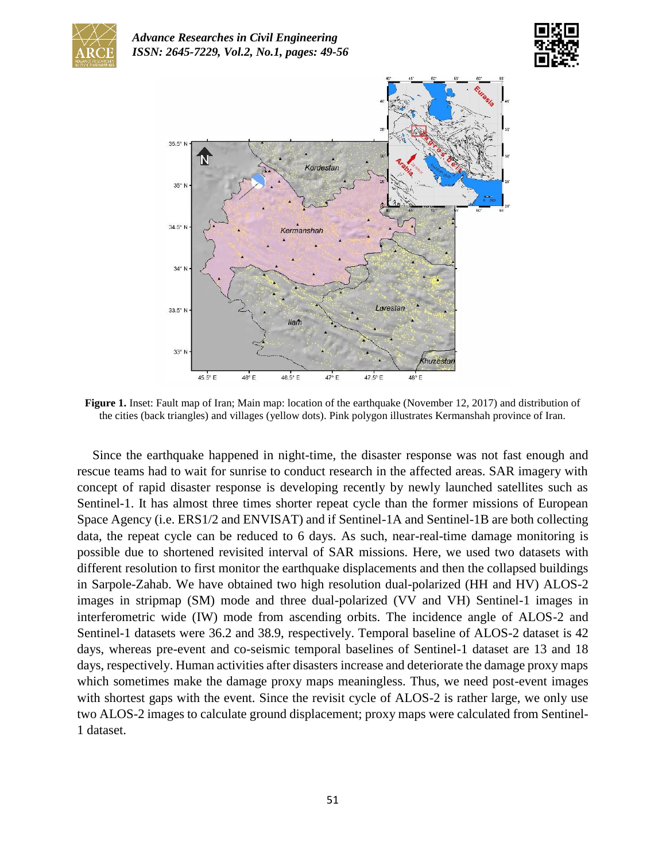





**Figure 1.** Inset: Fault map of Iran; Main map: location of the earthquake (November 12, 2017) and distribution of the cities (back triangles) and villages (yellow dots). Pink polygon illustrates Kermanshah province of Iran.

Since the earthquake happened in night-time, the disaster response was not fast enough and rescue teams had to wait for sunrise to conduct research in the affected areas. SAR imagery with concept of rapid disaster response is developing recently by newly launched satellites such as Sentinel-1. It has almost three times shorter repeat cycle than the former missions of European Space Agency (i.e. ERS1/2 and ENVISAT) and if Sentinel-1A and Sentinel-1B are both collecting data, the repeat cycle can be reduced to 6 days. As such, near-real-time damage monitoring is possible due to shortened revisited interval of SAR missions. Here, we used two datasets with different resolution to first monitor the earthquake displacements and then the collapsed buildings in Sarpole-Zahab. We have obtained two high resolution dual-polarized (HH and HV) ALOS-2 images in stripmap (SM) mode and three dual-polarized (VV and VH) Sentinel-1 images in interferometric wide (IW) mode from ascending orbits. The incidence angle of ALOS-2 and Sentinel-1 datasets were 36.2 and 38.9, respectively. Temporal baseline of ALOS-2 dataset is 42 days, whereas pre-event and co-seismic temporal baselines of Sentinel-1 dataset are 13 and 18 days, respectively. Human activities after disasters increase and deteriorate the damage proxy maps which sometimes make the damage proxy maps meaningless. Thus, we need post-event images with shortest gaps with the event. Since the revisit cycle of ALOS-2 is rather large, we only use two ALOS-2 images to calculate ground displacement; proxy maps were calculated from Sentinel-1 dataset.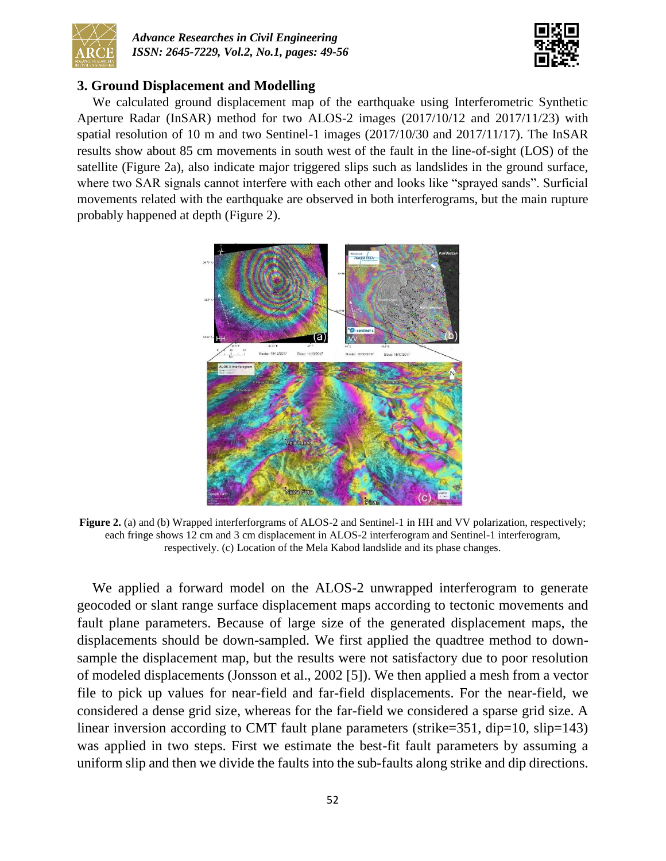



## **3. Ground Displacement and Modelling**

We calculated ground displacement map of the earthquake using Interferometric Synthetic Aperture Radar (InSAR) method for two ALOS-2 images (2017/10/12 and 2017/11/23) with spatial resolution of 10 m and two Sentinel-1 images (2017/10/30 and 2017/11/17). The InSAR results show about 85 cm movements in south west of the fault in the line-of-sight (LOS) of the satellite (Figure 2a), also indicate major triggered slips such as landslides in the ground surface, where two SAR signals cannot interfere with each other and looks like "sprayed sands". Surficial movements related with the earthquake are observed in both interferograms, but the main rupture probably happened at depth (Figure 2).



**Figure 2.** (a) and (b) Wrapped interferforgrams of ALOS-2 and Sentinel-1 in HH and VV polarization, respectively; each fringe shows 12 cm and 3 cm displacement in ALOS-2 interferogram and Sentinel-1 interferogram, respectively. (c) Location of the Mela Kabod landslide and its phase changes.

We applied a forward model on the ALOS-2 unwrapped interferogram to generate geocoded or slant range surface displacement maps according to tectonic movements and fault plane parameters. Because of large size of the generated displacement maps, the displacements should be down-sampled. We first applied the quadtree method to downsample the displacement map, but the results were not satisfactory due to poor resolution of modeled displacements (Jonsson et al., 2002 [5]). We then applied a mesh from a vector file to pick up values for near-field and far-field displacements. For the near-field, we considered a dense grid size, whereas for the far-field we considered a sparse grid size. A linear inversion according to CMT fault plane parameters (strike=351, dip=10, slip=143) was applied in two steps. First we estimate the best-fit fault parameters by assuming a uniform slip and then we divide the faults into the sub-faults along strike and dip directions.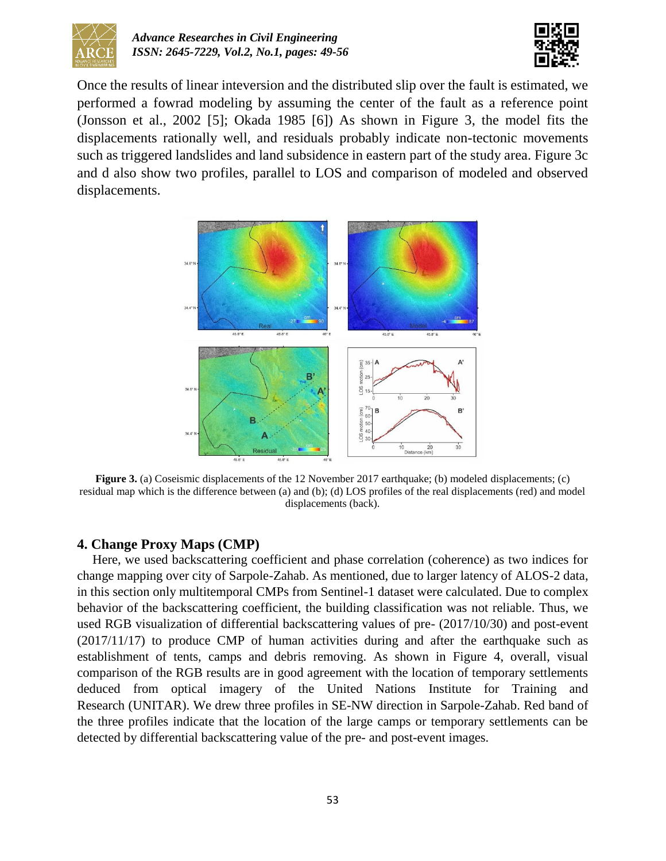



Once the results of linear inteversion and the distributed slip over the fault is estimated, we performed a fowrad modeling by assuming the center of the fault as a reference point (Jonsson et al., 2002 [5]; Okada 1985 [6]) As shown in Figure 3, the model fits the displacements rationally well, and residuals probably indicate non-tectonic movements such as triggered landslides and land subsidence in eastern part of the study area. Figure 3c and d also show two profiles, parallel to LOS and comparison of modeled and observed displacements.



**Figure 3.** (a) Coseismic displacements of the 12 November 2017 earthquake; (b) modeled displacements; (c) residual map which is the difference between (a) and (b); (d) LOS profiles of the real displacements (red) and model displacements (back).

### **4. Change Proxy Maps (CMP)**

Here, we used backscattering coefficient and phase correlation (coherence) as two indices for change mapping over city of Sarpole-Zahab. As mentioned, due to larger latency of ALOS-2 data, in this section only multitemporal CMPs from Sentinel-1 dataset were calculated. Due to complex behavior of the backscattering coefficient, the building classification was not reliable. Thus, we used RGB visualization of differential backscattering values of pre- (2017/10/30) and post-event (2017/11/17) to produce CMP of human activities during and after the earthquake such as establishment of tents, camps and debris removing. As shown in Figure 4, overall, visual comparison of the RGB results are in good agreement with the location of temporary settlements deduced from optical imagery of the United Nations Institute for Training and Research (UNITAR). We drew three profiles in SE-NW direction in Sarpole-Zahab. Red band of the three profiles indicate that the location of the large camps or temporary settlements can be detected by differential backscattering value of the pre- and post-event images.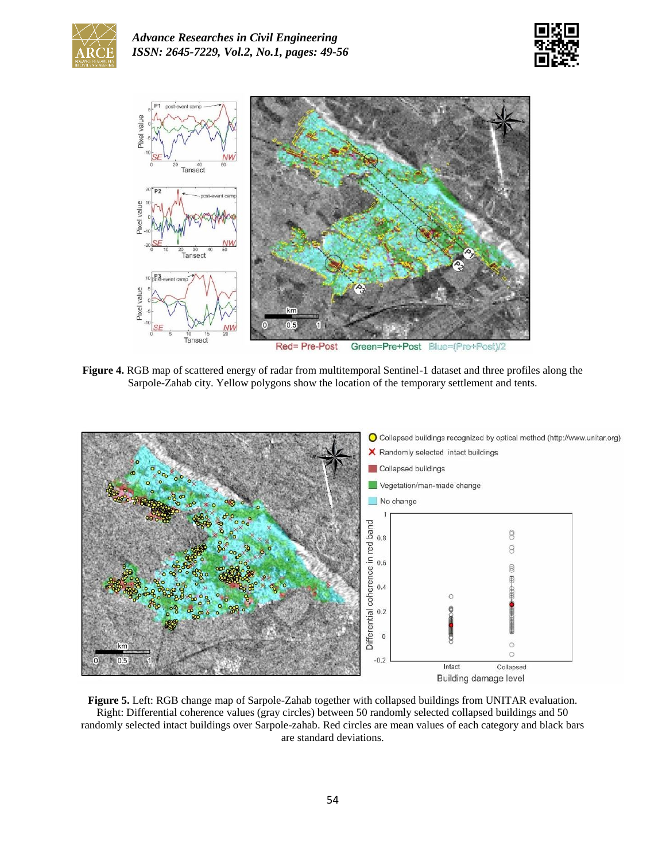





**Figure 4.** RGB map of scattered energy of radar from multitemporal Sentinel-1 dataset and three profiles along the Sarpole-Zahab city. Yellow polygons show the location of the temporary settlement and tents.



**Figure 5.** Left: RGB change map of Sarpole-Zahab together with collapsed buildings from UNITAR evaluation. Right: Differential coherence values (gray circles) between 50 randomly selected collapsed buildings and 50 randomly selected intact buildings over Sarpole-zahab. Red circles are mean values of each category and black bars are standard deviations.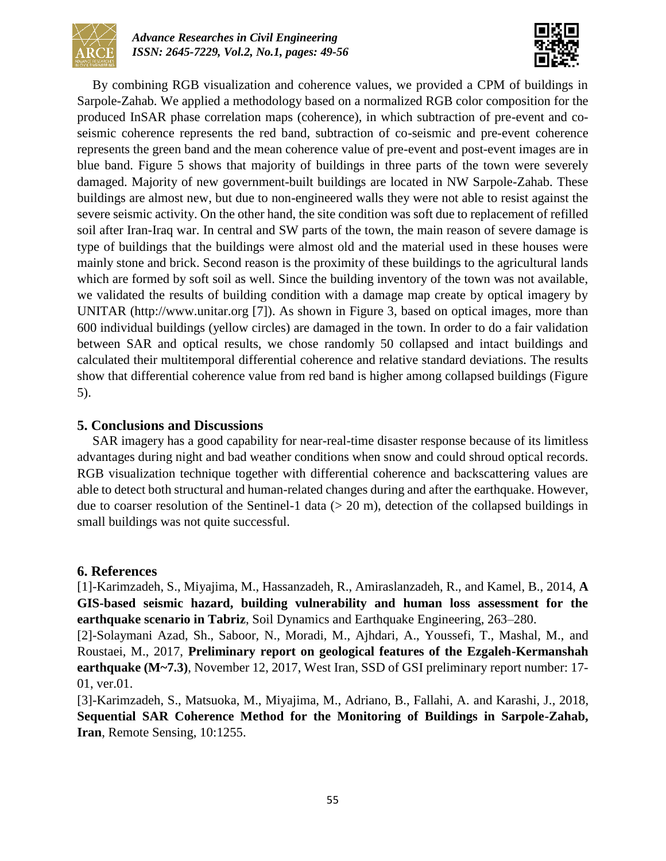



By combining RGB visualization and coherence values, we provided a CPM of buildings in Sarpole-Zahab. We applied a methodology based on a normalized RGB color composition for the produced InSAR phase correlation maps (coherence), in which subtraction of pre-event and coseismic coherence represents the red band, subtraction of co-seismic and pre-event coherence represents the green band and the mean coherence value of pre-event and post-event images are in blue band. Figure 5 shows that majority of buildings in three parts of the town were severely damaged. Majority of new government-built buildings are located in NW Sarpole-Zahab. These buildings are almost new, but due to non-engineered walls they were not able to resist against the severe seismic activity. On the other hand, the site condition was soft due to replacement of refilled soil after Iran-Iraq war. In central and SW parts of the town, the main reason of severe damage is type of buildings that the buildings were almost old and the material used in these houses were mainly stone and brick. Second reason is the proximity of these buildings to the agricultural lands which are formed by soft soil as well. Since the building inventory of the town was not available, we validated the results of building condition with a damage map create by optical imagery by UNITAR [\(http://www.unitar.org](http://www.unitar.org/) [7]). As shown in Figure 3, based on optical images, more than 600 individual buildings (yellow circles) are damaged in the town. In order to do a fair validation between SAR and optical results, we chose randomly 50 collapsed and intact buildings and calculated their multitemporal differential coherence and relative standard deviations. The results show that differential coherence value from red band is higher among collapsed buildings (Figure 5).

## **5. Conclusions and Discussions**

SAR imagery has a good capability for near-real-time disaster response because of its limitless advantages during night and bad weather conditions when snow and could shroud optical records. RGB visualization technique together with differential coherence and backscattering values are able to detect both structural and human-related changes during and after the earthquake. However, due to coarser resolution of the Sentinel-1 data  $(> 20 \text{ m})$ , detection of the collapsed buildings in small buildings was not quite successful.

### **6. References**

[1]-Karimzadeh, S., Miyajima, M., Hassanzadeh, R., Amiraslanzadeh, R., and Kamel, B., 2014, **A GIS-based seismic hazard, building vulnerability and human loss assessment for the earthquake scenario in Tabriz**, Soil Dynamics and Earthquake Engineering, 263–280.

[2]-Solaymani Azad, Sh., Saboor, N., Moradi, M., Ajhdari, A., Youssefi, T., Mashal, M., and Roustaei, M., 2017, **Preliminary report on geological features of the Ezgaleh-Kermanshah earthquake (M~7.3)**, November 12, 2017, West Iran, SSD of GSI preliminary report number: 17- 01, ver.01.

[3]-Karimzadeh, S., Matsuoka, M., Miyajima, M., Adriano, B., Fallahi, A. and Karashi, J., 2018, **Sequential SAR Coherence Method for the Monitoring of Buildings in Sarpole-Zahab, Iran**, Remote Sensing, 10:1255.